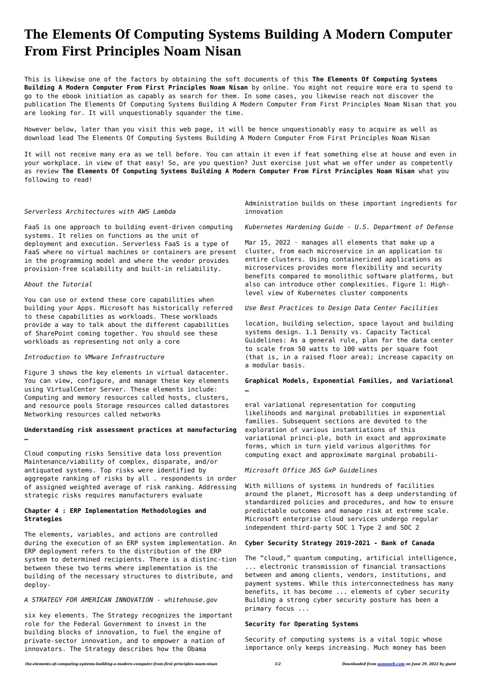# **The Elements Of Computing Systems Building A Modern Computer From First Principles Noam Nisan**

This is likewise one of the factors by obtaining the soft documents of this **The Elements Of Computing Systems Building A Modern Computer From First Principles Noam Nisan** by online. You might not require more era to spend to go to the ebook initiation as capably as search for them. In some cases, you likewise reach not discover the publication The Elements Of Computing Systems Building A Modern Computer From First Principles Noam Nisan that you are looking for. It will unquestionably squander the time.

However below, later than you visit this web page, it will be hence unquestionably easy to acquire as well as download lead The Elements Of Computing Systems Building A Modern Computer From First Principles Noam Nisan

It will not receive many era as we tell before. You can attain it even if feat something else at house and even in your workplace. in view of that easy! So, are you question? Just exercise just what we offer under as competently as review **The Elements Of Computing Systems Building A Modern Computer From First Principles Noam Nisan** what you following to read!

## *Serverless Architectures with AWS Lambda*

FaaS is one approach to building event-driven computing systems. It relies on functions as the unit of deployment and execution. Serverless FaaS is a type of FaaS where no virtual machines or containers are present in the programming model and where the vendor provides provision-free scalability and built-in reliability.

## *About the Tutorial*

You can use or extend these core capabilities when building your Apps. Microsoft has historically referred to these capabilities as workloads. These workloads provide a way to talk about the different capabilities of SharePoint coming together. You should see these workloads as representing not only a core

Mar 15, 2022  $\cdot$  manages all elements that make up a cluster, from each microservice in an application to entire clusters. Using containerized applications as microservices provides more flexibility and security benefits compared to monolithic software platforms, but also can introduce other complexities. Figure 1: Highlevel view of Kubernetes cluster components

## *Introduction to VMware Infrastructure*

Figure 3 shows the key elements in virtual datacenter. You can view, configure, and manage these key elements using VirtualCenter Server. These elements include: Computing and memory resources called hosts, clusters, and resource pools Storage resources called datastores Networking resources called networks

# **Understanding risk assessment practices at manufacturing …**

Cloud computing risks Sensitive data loss prevention Maintenance/viability of complex, disparate, and/or antiquated systems. Top risks were identified by aggregate ranking of risks by all . respondents in order of assigned weighted average of risk ranking. Addressing strategic risks requires manufacturers evaluate

# **Chapter 4 : ERP Implementation Methodologies and**

# **Strategies**

The elements, variables, and actions are controlled during the execution of an ERP system implementation. An ERP deployment refers to the distribution of the ERP system to determined recipients. There is a distinc-tion between these two terms where implementation is the building of the necessary structures to distribute, and deploy-

## *A STRATEGY FOR AMERICAN INNOVATION - whitehouse.gov*

six key elements. The Strategy recognizes the important role for the Federal Government to invest in the building blocks of innovation, to fuel the engine of private-sector innovation, and to empower a nation of innovators. The Strategy describes how the Obama

Administration builds on these important ingredients for innovation

*Kubernetes Hardening Guide - U.S. Department of Defense*

*Use Best Practices to Design Data Center Facilities*

location, building selection, space layout and building systems design. 1.1 Density vs. Capacity Tactical Guidelines: As a general rule, plan for the data center to scale from 50 watts to 100 watts per square foot (that is, in a raised floor area); increase capacity on a modular basis.

# **Graphical Models, Exponential Families, and Variational …**

eral variational representation for computing likelihoods and marginal probabilities in exponential families. Subsequent sections are devoted to the exploration of various instantiations of this variational princi-ple, both in exact and approximate forms, which in turn yield various algorithms for computing exact and approximate marginal probabili-

# *Microsoft Office 365 GxP Guidelines*

With millions of systems in hundreds of facilities around the planet, Microsoft has a deep understanding of standardized policies and procedures, and how to ensure predictable outcomes and manage risk at extreme scale. Microsoft enterprise cloud services undergo regular independent third-party SOC 1 Type 2 and SOC 2

# **Cyber Security Strategy 2019-2021 - Bank of Canada**

The "cloud," quantum computing, artificial intelligence, ... electronic transmission of financial transactions between and among clients, vendors, institutions, and payment systems. While this interconnectedness has many benefits, it has become ... elements of cyber security Building a strong cyber security posture has been a primary focus ...

# **Security for Operating Systems**

Security of computing systems is a vital topic whose importance only keeps increasing. Much money has been